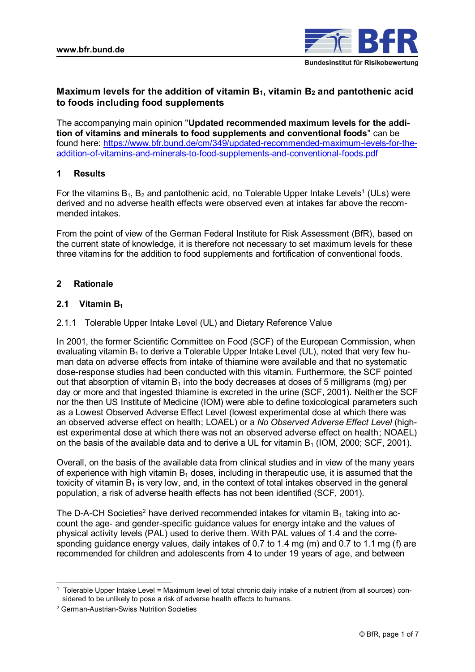

# **Maximum levels for the addition of vitamin B1, vitamin B<sup>2</sup> and pantothenic acid to foods including food supplements**

The accompanying main opinion "**Updated recommended maximum levels for the addition of vitamins and minerals to food supplements and conventional foods**" can be found here: [https://www.bfr.bund.de/cm/349/updated-recommended-maximum-levels-for-the](https://www.bfr.bund.de/cm/349/updated-recommended-maximum-levels-for-the-addition-of-vitamins-and-minerals-to-food-supplements-and-conventional-foods.pdf)[addition-of-vitamins-and-minerals-to-food-supplements-and-conventional-foods.pdf](https://www.bfr.bund.de/cm/349/updated-recommended-maximum-levels-for-the-addition-of-vitamins-and-minerals-to-food-supplements-and-conventional-foods.pdf)

# **1 Results**

For the vitamins  $\mathsf{B}_1,\,\mathsf{B}_2$  and pantothenic acid, no Tolerable Upper Intake Levels $^1$  (ULs) were derived and no adverse health effects were observed even at intakes far above the recommended intakes.

From the point of view of the German Federal Institute for Risk Assessment (BfR), based on the current state of knowledge, it is therefore not necessary to set maximum levels for these three vitamins for the addition to food supplements and fortification of conventional foods.

# **2 Rationale**

# **2.1 Vitamin B<sup>1</sup>**

## 2.1.1 Tolerable Upper Intake Level (UL) and Dietary Reference Value

In 2001, the former Scientific Committee on Food (SCF) of the European Commission, when evaluating vitamin  $B_1$  to derive a Tolerable Upper Intake Level (UL), noted that very few human data on adverse effects from intake of thiamine were available and that no systematic dose-response studies had been conducted with this vitamin. Furthermore, the SCF pointed out that absorption of vitamin  $B_1$  into the body decreases at doses of 5 milligrams (mg) per day or more and that ingested thiamine is excreted in the urine (SCF, 2001). Neither the SCF nor the then US Institute of Medicine (IOM) were able to define toxicological parameters such as a Lowest Observed Adverse Effect Level (lowest experimental dose at which there was an observed adverse effect on health; LOAEL) or a *No Observed Adverse Effect Level* (highest experimental dose at which there was not an observed adverse effect on health; NOAEL) on the basis of the available data and to derive a UL for vitamin  $B_1$  (IOM, 2000; SCF, 2001).

Overall, on the basis of the available data from clinical studies and in view of the many years of experience with high vitamin  $B_1$  doses, including in therapeutic use, it is assumed that the toxicity of vitamin  $B_1$  is very low, and, in the context of total intakes observed in the general population, a risk of adverse health effects has not been identified (SCF, 2001).

The D-A-CH Societies<sup>2</sup> have derived recommended intakes for vitamin  $B_1$  taking into account the age- and gender-specific guidance values for energy intake and the values of physical activity levels (PAL) used to derive them. With PAL values of 1.4 and the corresponding guidance energy values, daily intakes of 0.7 to 1.4 mg (m) and 0.7 to 1.1 mg (f) are recommended for children and adolescents from 4 to under 19 years of age, and between

<sup>1</sup> Tolerable Upper Intake Level = Maximum level of total chronic daily intake of a nutrient (from all sources) considered to be unlikely to pose a risk of adverse health effects to humans.

<sup>2</sup> German-Austrian-Swiss Nutrition Societies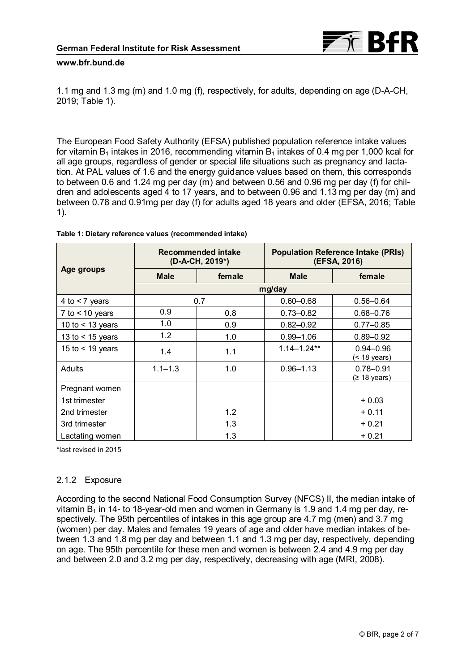

1.1 mg and 1.3 mg (m) and 1.0 mg (f), respectively, for adults, depending on age (D-A-CH, 2019; Table 1).

The European Food Safety Authority (EFSA) published population reference intake values for vitamin  $B_1$  intakes in 2016, recommending vitamin  $B_1$  intakes of 0.4 mg per 1,000 kcal for all age groups, regardless of gender or special life situations such as pregnancy and lactation. At PAL values of 1.6 and the energy guidance values based on them, this corresponds to between 0.6 and 1.24 mg per day (m) and between 0.56 and 0.96 mg per day (f) for children and adolescents aged 4 to 17 years, and to between 0.96 and 1.13 mg per day (m) and between 0.78 and 0.91mg per day (f) for adults aged 18 years and older (EFSA, 2016; Table 1).

|                    | Recommended intake<br>(D-A-CH, 2019*) |        | <b>Population Reference Intake (PRIs)</b><br>(EFSA, 2016) |                               |  |  |
|--------------------|---------------------------------------|--------|-----------------------------------------------------------|-------------------------------|--|--|
| Age groups         | <b>Male</b>                           | female | <b>Male</b>                                               | female                        |  |  |
|                    | mg/day                                |        |                                                           |                               |  |  |
| 4 to $<$ 7 years   |                                       | 0.7    | $0.60 - 0.68$                                             | $0.56 - 0.64$                 |  |  |
| 7 to $<$ 10 years  | 0.9                                   | 0.8    | $0.73 - 0.82$                                             | $0.68 - 0.76$                 |  |  |
| 10 to $<$ 13 years | 1.0                                   | 0.9    | $0.82 - 0.92$                                             | $0.77 - 0.85$                 |  |  |
| 13 to $<$ 15 years | 1.2                                   | 1.0    | $0.99 - 1.06$                                             | $0.89 - 0.92$                 |  |  |
| 15 to $<$ 19 years | 1.4                                   | 1.1    | $1.14 - 1.24**$                                           | $0.94 - 0.96$<br>(< 18 years) |  |  |
| Adults             | $1.1 - 1.3$                           | 1.0    | $0.96 - 1.13$                                             | $0.78 - 0.91$<br>(≥ 18 years) |  |  |
| Pregnant women     |                                       |        |                                                           |                               |  |  |
| 1st trimester      |                                       |        |                                                           | $+0.03$                       |  |  |
| 2nd trimester      |                                       | 1.2    |                                                           | $+0.11$                       |  |  |
| 3rd trimester      |                                       | 1.3    |                                                           | + 0.21                        |  |  |
| Lactating women    |                                       | 1.3    |                                                           | $+0.21$                       |  |  |

### **Table 1: Dietary reference values (recommended intake)**

\*last revised in 2015

### 2.1.2 Exposure

According to the second National Food Consumption Survey (NFCS) II, the median intake of vitamin  $B_1$  in 14- to 18-year-old men and women in Germany is 1.9 and 1.4 mg per day, respectively. The 95th percentiles of intakes in this age group are 4.7 mg (men) and 3.7 mg (women) per day. Males and females 19 years of age and older have median intakes of between 1.3 and 1.8 mg per day and between 1.1 and 1.3 mg per day, respectively, depending on age. The 95th percentile for these men and women is between 2.4 and 4.9 mg per day and between 2.0 and 3.2 mg per day, respectively, decreasing with age (MRI, 2008).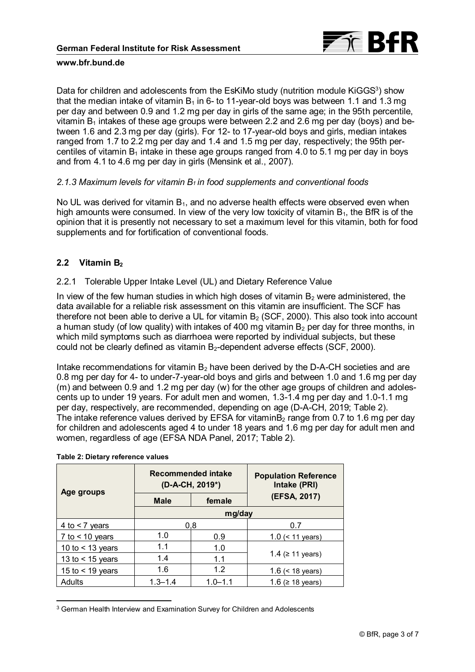

Data for children and adolescents from the EsKiMo study (nutrition module KiGGS<sup>3</sup>) show that the median intake of vitamin  $B_1$  in 6- to 11-year-old boys was between 1.1 and 1.3 mg per day and between 0.9 and 1.2 mg per day in girls of the same age; in the 95th percentile, vitamin  $B_1$  intakes of these age groups were between 2.2 and 2.6 mg per day (boys) and between 1.6 and 2.3 mg per day (girls). For 12- to 17-year-old boys and girls, median intakes ranged from 1.7 to 2.2 mg per day and 1.4 and 1.5 mg per day, respectively; the 95th percentiles of vitamin  $B_1$  intake in these age groups ranged from 4.0 to 5.1 mg per day in boys and from 4.1 to 4.6 mg per day in girls (Mensink et al., 2007).

### *2.1.3 Maximum levels for vitamin B1 in food supplements and conventional foods*

No UL was derived for vitamin  $B_1$ , and no adverse health effects were observed even when high amounts were consumed. In view of the very low toxicity of vitamin  $B_1$ , the BfR is of the opinion that it is presently not necessary to set a maximum level for this vitamin, both for food supplements and for fortification of conventional foods.

## **2.2 Vitamin B<sup>2</sup>**

### 2.2.1 Tolerable Upper Intake Level (UL) and Dietary Reference Value

In view of the few human studies in which high doses of vitamin  $B_2$  were administered, the data available for a reliable risk assessment on this vitamin are insufficient. The SCF has therefore not been able to derive a UL for vitamin  $B_2$  (SCF, 2000). This also took into account a human study (of low quality) with intakes of 400 mg vitamin  $B<sub>2</sub>$  per day for three months, in which mild symptoms such as diarrhoea were reported by individual subjects, but these could not be clearly defined as vitamin  $B_2$ -dependent adverse effects (SCF, 2000).

Intake recommendations for vitamin  $B_2$  have been derived by the D-A-CH societies and are 0.8 mg per day for 4- to under-7-year-old boys and girls and between 1.0 and 1.6 mg per day (m) and between 0.9 and 1.2 mg per day (w) for the other age groups of children and adolescents up to under 19 years. For adult men and women, 1.3-1.4 mg per day and 1.0-1.1 mg per day, respectively, are recommended, depending on age (D-A-CH, 2019; Table 2). The intake reference values derived by EFSA for vitaminB<sub>2</sub> range from 0.7 to 1.6 mg per day for children and adolescents aged 4 to under 18 years and 1.6 mg per day for adult men and women, regardless of age (EFSA NDA Panel, 2017; Table 2).

| Age groups         |             | <b>Recommended intake</b><br>(D-A-CH, 2019*) | <b>Population Reference</b><br>Intake (PRI) |  |  |
|--------------------|-------------|----------------------------------------------|---------------------------------------------|--|--|
|                    | <b>Male</b> | female                                       | (EFSA, 2017)                                |  |  |
|                    | mg/day      |                                              |                                             |  |  |
| 4 to $<$ 7 years   | 0.8         |                                              | 0.7                                         |  |  |
| 7 to $<$ 10 years  | 1.0         | 0.9                                          | $1.0$ (< 11 years)                          |  |  |
| 10 to $<$ 13 years | 1.1         | 1.0                                          |                                             |  |  |
| 13 to $<$ 15 years | 1.4         | 1.1                                          | 1.4 (≥ 11 years)                            |  |  |
| 15 to $<$ 19 years | 1.6         | 12                                           | 1.6 $(< 18$ years)                          |  |  |
| Adults             | $1.3 - 1.4$ | $1.0 - 1.1$                                  | 1.6 (≥ 18 years)                            |  |  |

#### **Table 2: Dietary reference values**

 $\overline{a}$ 

<sup>3</sup> German Health Interview and Examination Survey for Children and Adolescents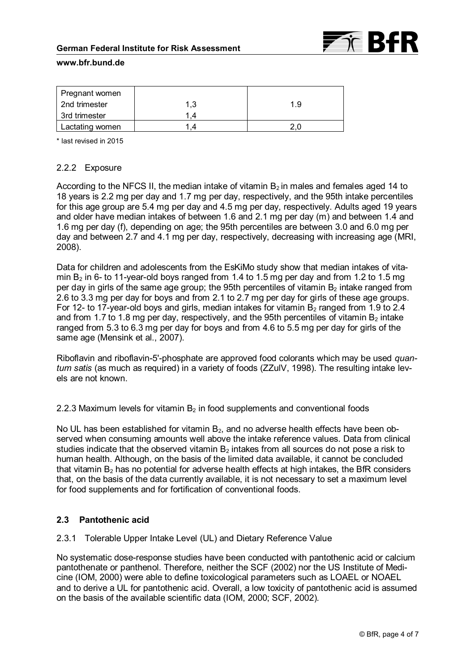### **German Federal Institute for Risk Assessment**



### **www.bfr.bund.de**

| Pregnant women  |     |     |
|-----------------|-----|-----|
| 2nd trimester   | 1.3 | 1.9 |
| 3rd trimester   |     |     |
| Lactating women |     | 2 O |

\* last revised in 2015

# 2.2.2 Exposure

According to the NFCS II, the median intake of vitamin  $B_2$  in males and females aged 14 to 18 years is 2.2 mg per day and 1.7 mg per day, respectively, and the 95th intake percentiles for this age group are 5.4 mg per day and 4.5 mg per day, respectively. Adults aged 19 years and older have median intakes of between 1.6 and 2.1 mg per day (m) and between 1.4 and 1.6 mg per day (f), depending on age; the 95th percentiles are between 3.0 and 6.0 mg per day and between 2.7 and 4.1 mg per day, respectively, decreasing with increasing age (MRI, 2008).

Data for children and adolescents from the EsKiMo study show that median intakes of vitamin  $B_2$  in 6- to 11-year-old boys ranged from 1.4 to 1.5 mg per day and from 1.2 to 1.5 mg per day in girls of the same age group; the 95th percentiles of vitamin  $B_2$  intake ranged from 2.6 to 3.3 mg per day for boys and from 2.1 to 2.7 mg per day for girls of these age groups. For 12- to 17-year-old boys and girls, median intakes for vitamin  $B_2$  ranged from 1.9 to 2.4 and from 1.7 to 1.8 mg per day, respectively, and the 95th percentiles of vitamin  $B_2$  intake ranged from 5.3 to 6.3 mg per day for boys and from 4.6 to 5.5 mg per day for girls of the same age (Mensink et al., 2007).

Riboflavin and riboflavin-5'-phosphate are approved food colorants which may be used *quantum satis* (as much as required) in a variety of foods (ZZulV, 1998). The resulting intake levels are not known.

2.2.3 Maximum levels for vitamin  $B_2$  in food supplements and conventional foods

No UL has been established for vitamin  $B_2$ , and no adverse health effects have been observed when consuming amounts well above the intake reference values. Data from clinical studies indicate that the observed vitamin  $B_2$  intakes from all sources do not pose a risk to human health. Although, on the basis of the limited data available, it cannot be concluded that vitamin  $B_2$  has no potential for adverse health effects at high intakes, the BfR considers that, on the basis of the data currently available, it is not necessary to set a maximum level for food supplements and for fortification of conventional foods.

# **2.3 Pantothenic acid**

## 2.3.1 Tolerable Upper Intake Level (UL) and Dietary Reference Value

No systematic dose-response studies have been conducted with pantothenic acid or calcium pantothenate or panthenol. Therefore, neither the SCF (2002) nor the US Institute of Medicine (IOM, 2000) were able to define toxicological parameters such as LOAEL or NOAEL and to derive a UL for pantothenic acid. Overall, a low toxicity of pantothenic acid is assumed on the basis of the available scientific data (IOM, 2000; SCF, 2002).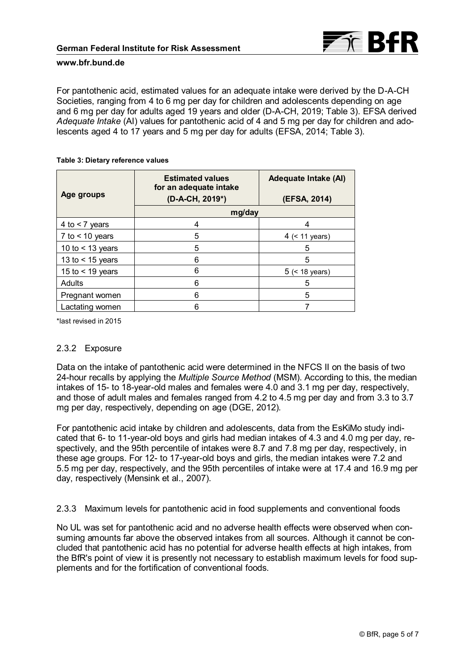

For pantothenic acid, estimated values for an adequate intake were derived by the D-A-CH Societies, ranging from 4 to 6 mg per day for children and adolescents depending on age and 6 mg per day for adults aged 19 years and older (D-A-CH, 2019; Table 3). EFSA derived *Adequate Intake* (AI) values for pantothenic acid of 4 and 5 mg per day for children and adolescents aged 4 to 17 years and 5 mg per day for adults (EFSA, 2014; Table 3).

#### **Table 3: Dietary reference values**

|                    | <b>Estimated values</b><br>for an adequate intake | Adequate Intake (AI) |  |  |
|--------------------|---------------------------------------------------|----------------------|--|--|
| Age groups         | (D-A-CH, 2019*)                                   | (EFSA, 2014)         |  |  |
|                    | mg/day                                            |                      |  |  |
| 4 to $<$ 7 years   | 4                                                 | 4                    |  |  |
| 7 to $<$ 10 years  | 5                                                 | 4 $(< 11$ years)     |  |  |
| 10 to $<$ 13 years | 5                                                 | 5                    |  |  |
| 13 to $<$ 15 years | 6                                                 | 5                    |  |  |
| 15 to $<$ 19 years | 6                                                 | $5$ (< 18 years)     |  |  |
| Adults             | 6                                                 | 5                    |  |  |
| Pregnant women     | 6                                                 | 5                    |  |  |
| Lactating women    |                                                   |                      |  |  |

\*last revised in 2015

### 2.3.2 Exposure

Data on the intake of pantothenic acid were determined in the NFCS II on the basis of two 24-hour recalls by applying the *Multiple Source Method* (MSM). According to this, the median intakes of 15- to 18-year-old males and females were 4.0 and 3.1 mg per day, respectively, and those of adult males and females ranged from 4.2 to 4.5 mg per day and from 3.3 to 3.7 mg per day, respectively, depending on age (DGE, 2012).

For pantothenic acid intake by children and adolescents, data from the EsKiMo study indicated that 6- to 11-year-old boys and girls had median intakes of 4.3 and 4.0 mg per day, respectively, and the 95th percentile of intakes were 8.7 and 7.8 mg per day, respectively, in these age groups. For 12- to 17-year-old boys and girls, the median intakes were 7.2 and 5.5 mg per day, respectively, and the 95th percentiles of intake were at 17.4 and 16.9 mg per day, respectively (Mensink et al., 2007).

2.3.3 Maximum levels for pantothenic acid in food supplements and conventional foods

No UL was set for pantothenic acid and no adverse health effects were observed when consuming amounts far above the observed intakes from all sources. Although it cannot be concluded that pantothenic acid has no potential for adverse health effects at high intakes, from the BfR's point of view it is presently not necessary to establish maximum levels for food supplements and for the fortification of conventional foods.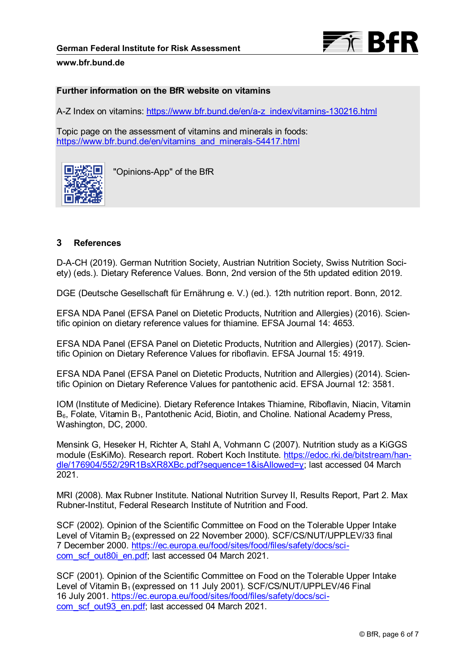

### **Further information on the BfR website on vitamins**

A-Z Index on vitamins: [https://www.bfr.bund.de/en/a-z\\_index/vitamins-130216.html](https://www.bfr.bund.de/en/a-z_index/vitamins-130216.html)

Topic page on the assessment of vitamins and minerals in foods: [https://www.bfr.bund.de/en/vitamins\\_and\\_minerals-54417.html](https://www.bfr.bund.de/en/vitamins_and_minerals-54417.html)



"Opinions-App" of the BfR

# **3 References**

D-A-CH (2019). German Nutrition Society, Austrian Nutrition Society, Swiss Nutrition Society) (eds.). Dietary Reference Values. Bonn, 2nd version of the 5th updated edition 2019.

DGE (Deutsche Gesellschaft für Ernährung e. V.) (ed.). 12th nutrition report. Bonn, 2012.

EFSA NDA Panel (EFSA Panel on Dietetic Products, Nutrition and Allergies) (2016). Scientific opinion on dietary reference values for thiamine. EFSA Journal 14: 4653.

EFSA NDA Panel (EFSA Panel on Dietetic Products, Nutrition and Allergies) (2017). Scientific Opinion on Dietary Reference Values for riboflavin. EFSA Journal 15: 4919.

EFSA NDA Panel (EFSA Panel on Dietetic Products, Nutrition and Allergies) (2014). Scientific Opinion on Dietary Reference Values for pantothenic acid. EFSA Journal 12: 3581.

IOM (Institute of Medicine). Dietary Reference Intakes Thiamine, Riboflavin, Niacin, Vitamin  $B_6$ , Folate, Vitamin  $B_1$ , Pantothenic Acid, Biotin, and Choline. National Academy Press, Washington, DC, 2000.

Mensink G, Heseker H, Richter A, Stahl A, Vohmann C (2007). Nutrition study as a KiGGS module (EsKiMo). Research report. Robert Koch Institute. [https://edoc.rki.de/bitstream/han](https://edoc.rki.de/bitstream/handle/176904/552/29R1BsXR8XBc.pdf?sequence=1&isAllowed=y)[dle/176904/552/29R1BsXR8XBc.pdf?sequence=1&isAllowed=y;](https://edoc.rki.de/bitstream/handle/176904/552/29R1BsXR8XBc.pdf?sequence=1&isAllowed=y) last accessed 04 March 2021.

MRI (2008). Max Rubner Institute. National Nutrition Survey II, Results Report, Part 2. Max Rubner-Institut, Federal Research Institute of Nutrition and Food.

SCF (2002). Opinion of the Scientific Committee on Food on the Tolerable Upper Intake Level of Vitamin B<sub>2</sub> (expressed on 22 November 2000). SCF/CS/NUT/UPPLEV/33 final 7 December 2000. [https://ec.europa.eu/food/sites/food/files/safety/docs/sci](https://ec.europa.eu/food/sites/food/files/safety/docs/sci-com_scf_out80i_en.pdf)[com\\_scf\\_out80i\\_en.pdf;](https://ec.europa.eu/food/sites/food/files/safety/docs/sci-com_scf_out80i_en.pdf) last accessed 04 March 2021.

SCF (2001). Opinion of the Scientific Committee on Food on the Tolerable Upper Intake Level of Vitamin B<sub>1</sub> (expressed on 11 July 2001). SCF/CS/NUT/UPPLEV/46 Final 16 July 2001. [https://ec.europa.eu/food/sites/food/files/safety/docs/sci](https://ec.europa.eu/food/sites/food/files/safety/docs/sci-com_scf_out93_en.pdf)[com\\_scf\\_out93\\_en.pdf;](https://ec.europa.eu/food/sites/food/files/safety/docs/sci-com_scf_out93_en.pdf) last accessed 04 March 2021.